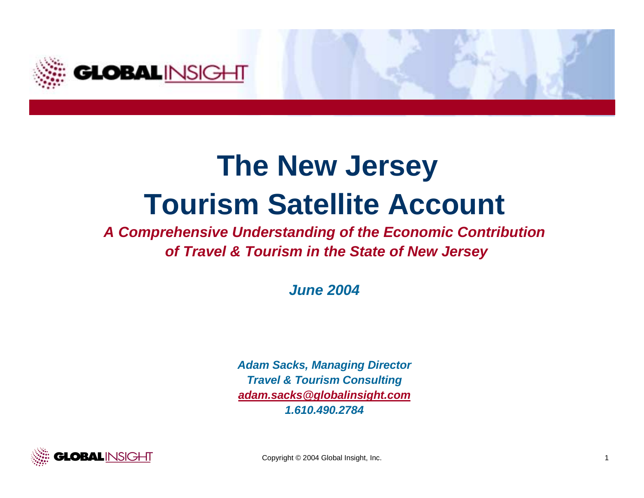

# **The New Jersey Tourism Satellite Account**

## *A Comprehensive Understanding of the Economic Contribution of Travel & Tourism in the State of New Jersey*

*June 2004*

*Adam Sacks, Managing Director Travel & Tourism Consulting adam.sacks@globalinsight.com 1.610.490.2784*

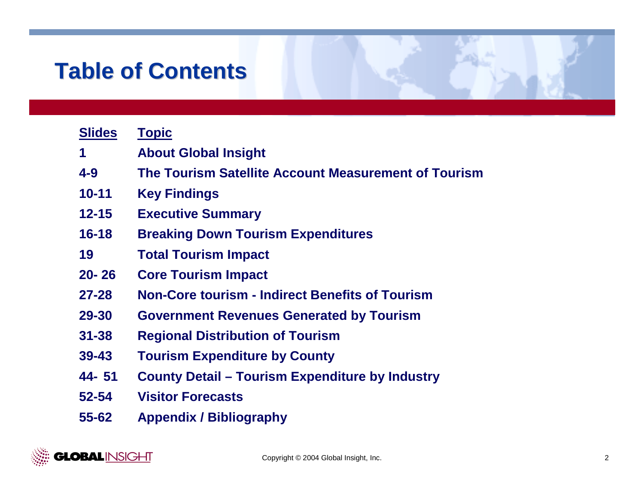# **Table of Contents Table of Contents**

| <b>Slides</b> | <b>Topic</b>                                           |
|---------------|--------------------------------------------------------|
| 1             | <b>About Global Insight</b>                            |
| $4 - 9$       | The Tourism Satellite Account Measurement of Tourism   |
| $10 - 11$     | <b>Key Findings</b>                                    |
| $12 - 15$     | <b>Executive Summary</b>                               |
| $16 - 18$     | <b>Breaking Down Tourism Expenditures</b>              |
| 19            | <b>Total Tourism Impact</b>                            |
| $20 - 26$     | <b>Core Tourism Impact</b>                             |
| $27 - 28$     | <b>Non-Core tourism - Indirect Benefits of Tourism</b> |
| 29-30         | <b>Government Revenues Generated by Tourism</b>        |
| $31 - 38$     | <b>Regional Distribution of Tourism</b>                |
| $39 - 43$     | <b>Tourism Expenditure by County</b>                   |
| 44-51         | <b>County Detail – Tourism Expenditure by Industry</b> |
| 52-54         | <b>Visitor Forecasts</b>                               |
| 55-62         | <b>Appendix / Bibliography</b>                         |

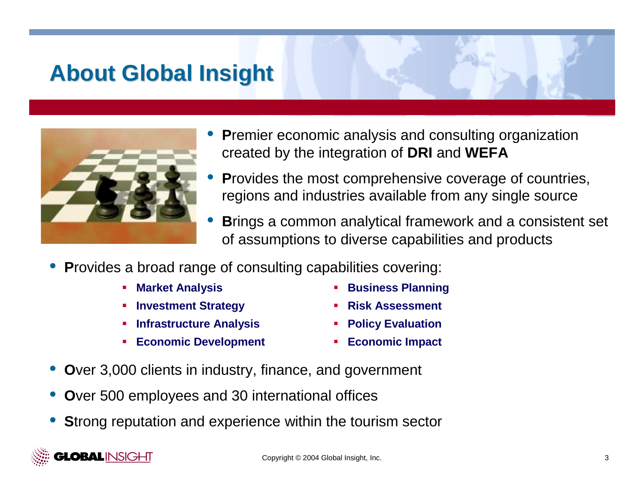## **About Global Insight About Global Insight**

- •**P**remier economic analysis and consulting organization created by the integration of **DRI** and **WEFA**
- •**P**rovides the most comprehensive coverage of countries, regions and industries available from any single source
- •**B**rings a common analytical framework and a consistent set of assumptions to diverse capabilities and products
- •**P**rovides a broad range of consulting capabilities covering:
	- !
	- !**Investment Strategy** ! **Risk Assessment**
	- !**Infrastructure Analysis** ! **Policy Evaluation**
	- **Economic Development 1999 Economic Impact**
- **Market Analysis 1988 1989 1989 1989 1989 1989 1989 1989 1989 1989 1989 1989 1989 1989 1989 1989 1989 1989 1989 1989 1989 1989 1989 1989 1989 1989 1989 1989 1989**
	-
	-
	-
- •**O**ver 3,000 clients in industry, finance, and government
- •**O**ver 500 employees and 30 international offices
- •**S**trong reputation and experience within the tourism sector

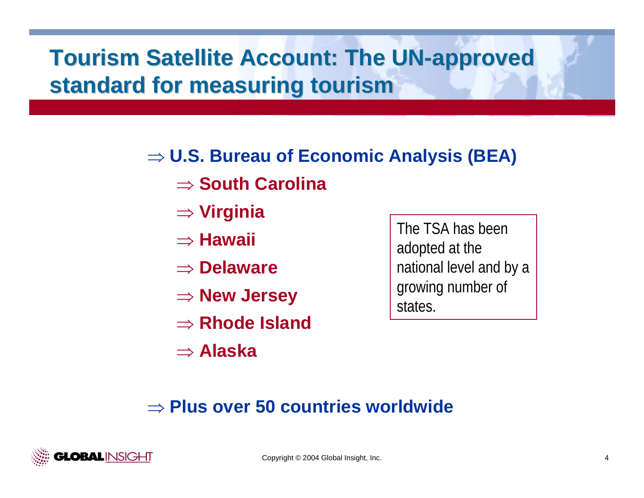# **Tourism Satellite Account: The UN-approved standard for measuring tourism standard for measuring tourism**

## ⇒ **U.S. Bureau of Economic Analysis (BEA)**

- ⇒ **South Carolina**
- ⇒ **Virginia**
- ⇒ **Hawaii**
- ⇒ **Delaware**
- ⇒ **New Jersey**
- ⇒ **Rhode Island**
- ⇒ **Alaska**

The TSA has been adopted at the national level and by a growing number of states.

## ⇒ **Plus over 50 countries worldwide**

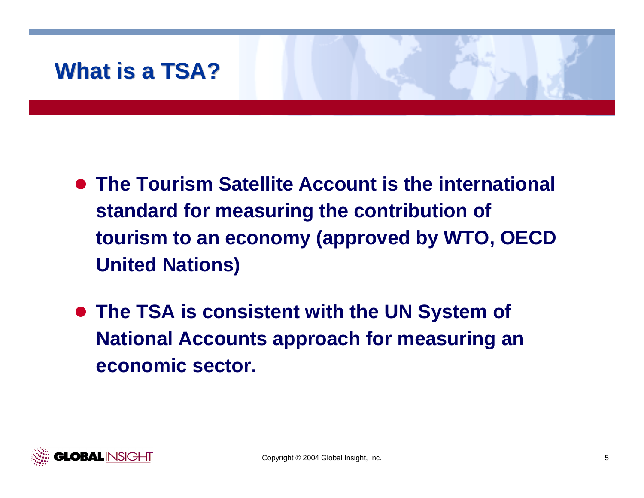# **What is a TSA? What is a TSA?**

- **The Tourism Satellite Account is the international standard for measuring the contribution of tourism to an economy (approved by WTO, OECD United Nations)**
- **The TSA is consistent with the UN System of National Accounts approach for measuring an economic sector.**

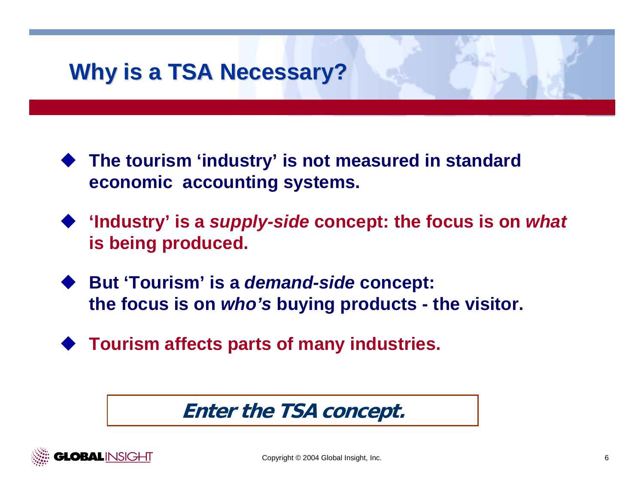# **Why is a TSA Necessary? Why is a TSA Necessary?**

- # **The tourism 'industry' is not measured in standard economic accounting systems.**
- # **'Industry' is a** *supply-side* **concept: the focus is on** *what* **is being produced.**
- # **But 'Tourism' is a** *demand-side* **concept: the focus is on** *who's* **buying products - the visitor.**
- # **Tourism affects parts of many industries.**

**Enter the TSA concept.**

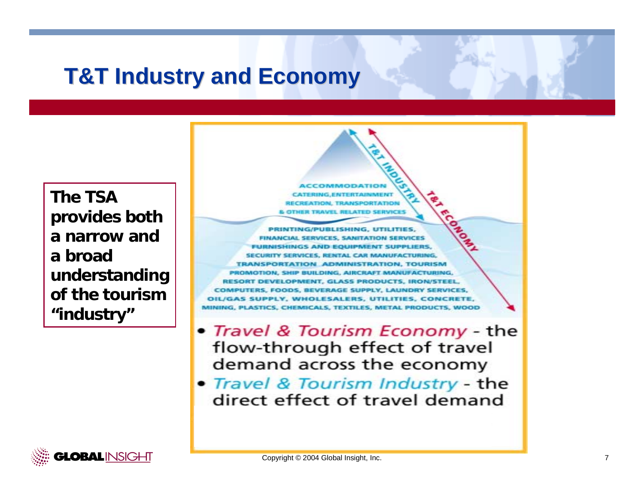## **T&T Industry and Economy T&T Industry and Economy**

**The TSA provides both a narrow and a broad understanding of the tourism "industry"**

PRINTING/PUBLISHING, UTILITIES, FINANCIAL SERVICES, SANITATION SERVICES **FURNISHINGS AND EQUIPMENT SUPPLIERS** SERVICES, RENTAL CAR MANUFACT **TRANSPORTATION ADMINISTRATION TOURISM** PROMOTION, SHIP BUILDING, AIRCRAFT MANUFACTU RESORT DEVELOPMENT, GLASS PRODUCTS, IRO! COMPUTERS, FOODS, BEVERAGE SUPPLY, LAUNDRY OIL/GAS SUPPLY, WHOLESALERS, UTILITIES, CONCRETE, MINING, PLASTICS, CHEMICALS, TEXTILES, METAL PRODUCTS, WOOD

- Travel & Tourism Economy the flow-through effect of travel demand across the economy
- Travel & Tourism Industry the direct effect of travel demand

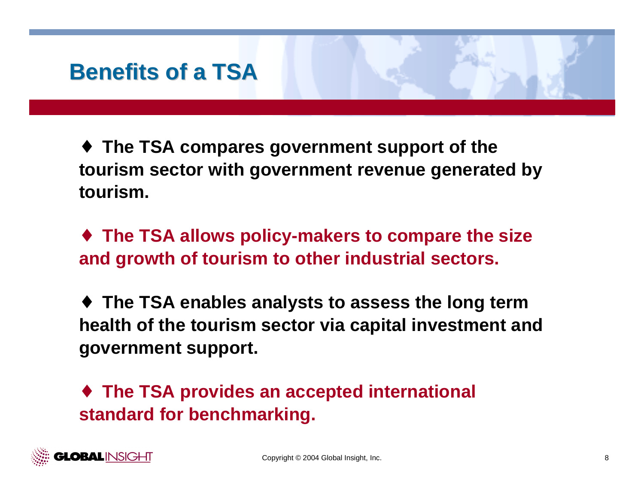## **Benefits of a TSA Benefits of a TSA**

♦ **The TSA compares government support of the tourism sector with government revenue generated by tourism.**

♦ **The TSA allows policy-makers to compare the size and growth of tourism to other industrial sectors.**

♦ **The TSA enables analysts to assess the long term health of the tourism sector via capital investment and government support.**

♦ **The TSA provides an accepted international standard for benchmarking.**

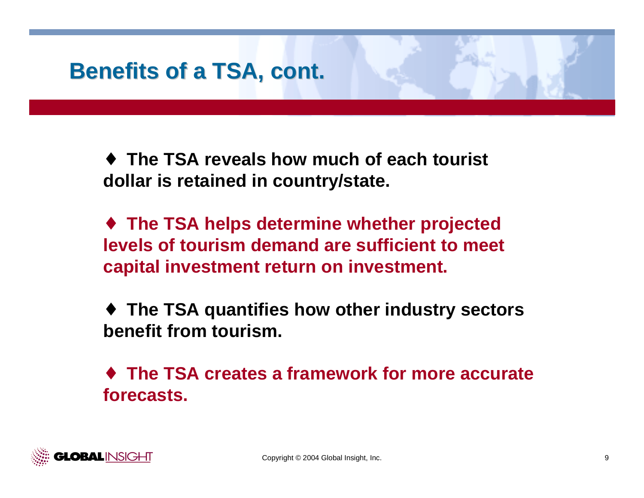# **Benefits of a TSA, cont. Benefits of a TSA, cont.**

♦ **The TSA reveals how much of each tourist dollar is retained in country/state.**

♦ **The TSA helps determine whether projected levels of tourism demand are sufficient to meet capital investment return on investment.**

♦ **The TSA quantifies how other industry sectors benefit from tourism.**

♦ **The TSA creates a framework for more accurate forecasts.**

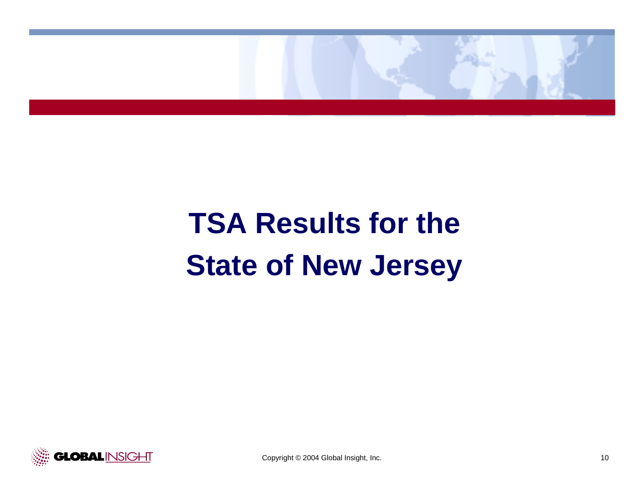

# **TSA Results for the State of New Jersey**

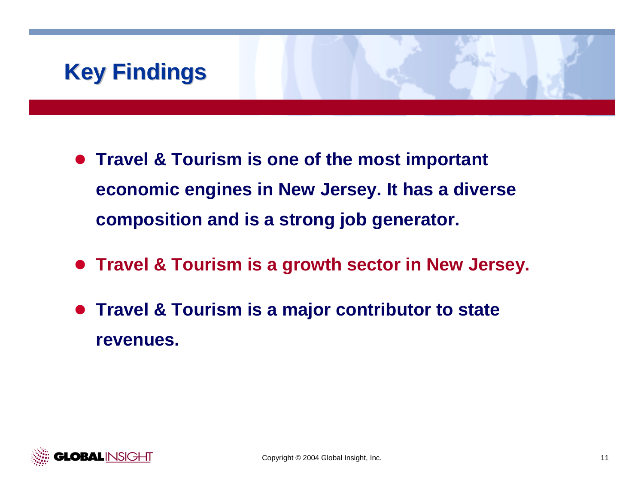# **Key Findings Key Findings**

- **Travel & Tourism is one of the most important economic engines in New Jersey. It has a diverse composition and is a strong job generator.**
- **Travel & Tourism is a growth sector in New Jersey.**
- $\bullet$  **Travel & Tourism is a major contributor to state revenues.**

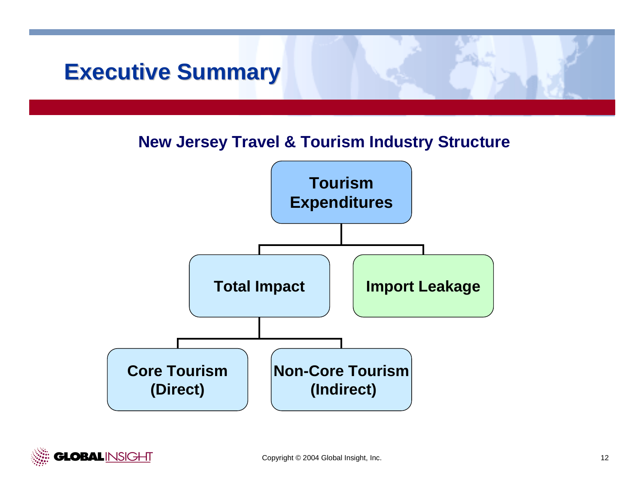## **Executive Summary Executive Summary**

### **New Jersey Travel & Tourism Industry Structure**



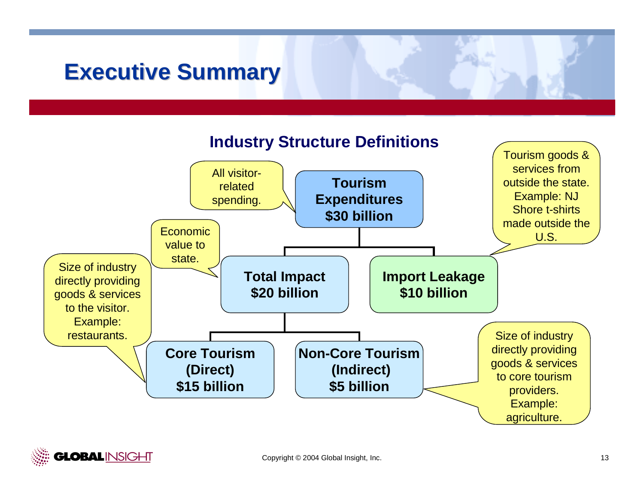## **Executive Summary Executive Summary**



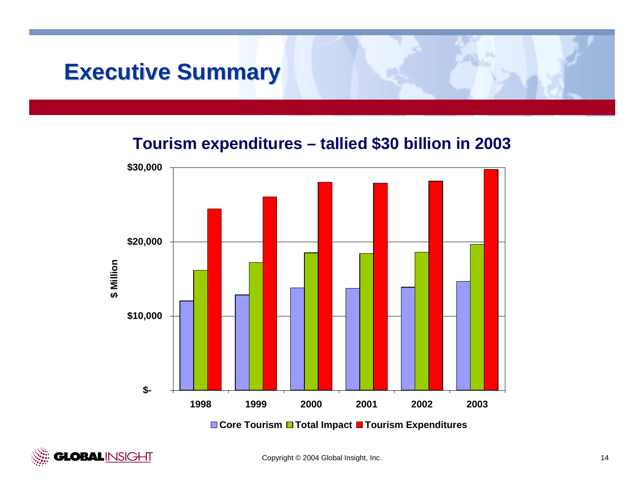## **Executive Summary Executive Summary**

### **Tourism expenditures – tallied \$30 billion in 2003**



**GLOBALINSIGHT**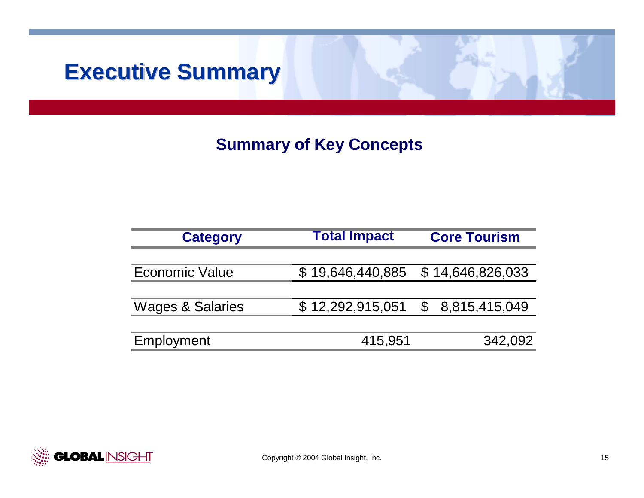## **Executive Summary**

## **Summary of Key Concepts**

| <b>Category</b>             | <b>Total Impact</b> | <b>Core Tourism</b>                |  |  |
|-----------------------------|---------------------|------------------------------------|--|--|
|                             |                     |                                    |  |  |
| <b>Economic Value</b>       | \$19,646,440,885    | \$14,646,826,033                   |  |  |
|                             |                     |                                    |  |  |
| <b>Wages &amp; Salaries</b> |                     | $$12,292,915,051$ $$8,815,415,049$ |  |  |
|                             |                     |                                    |  |  |
| Employment                  | 415,951             | 342,092                            |  |  |

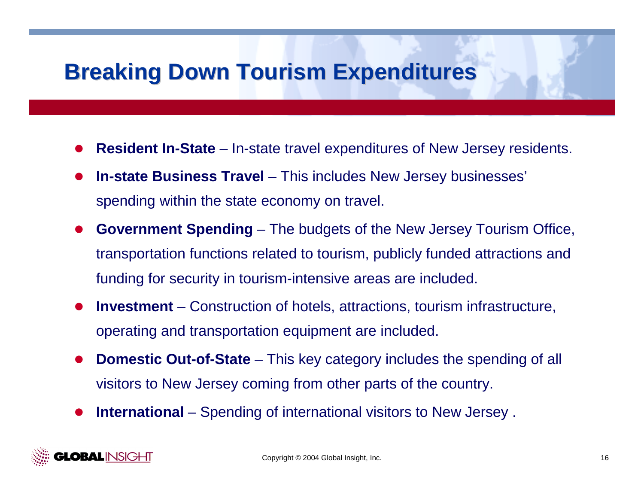## **Breaking Down Tourism Expenditures Breaking Down Tourism Expenditures**

- $\bullet$ **Resident In-State** – In-state travel expenditures of New Jersey residents.
- $\bullet$  **In-state Business Travel** – This includes New Jersey businesses' spending within the state economy on travel.
- $\bullet$  **Government Spending** – The budgets of the New Jersey Tourism Office, transportation functions related to tourism, publicly funded attractions and funding for security in tourism-intensive areas are included.
- $\bullet$  **Investment** – Construction of hotels, attractions, tourism infrastructure, operating and transportation equipment are included.
- $\bullet$  **Domestic Out-of-State** – This key category includes the spending of all visitors to New Jersey coming from other parts of the country.
- $\bullet$ **International** – Spending of international visitors to New Jersey .

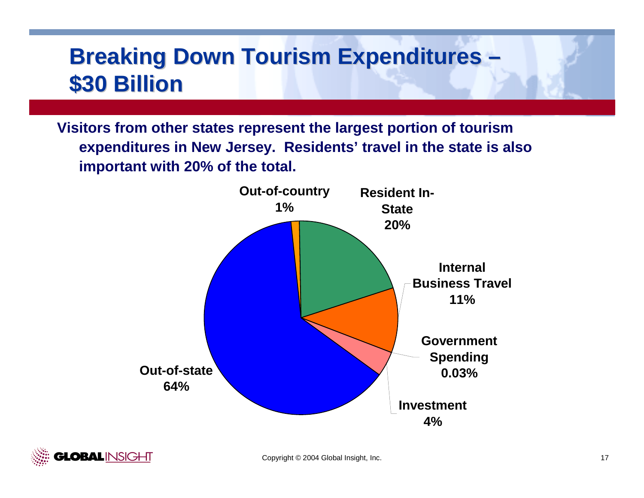## **Breaking Down Tourism Expenditures & – \$30 Billion \$30 Billion**

**Visitors from other states represent the largest portion of tourism expenditures in New Jersey. Residents' travel in the state is also important with 20% of the total.**



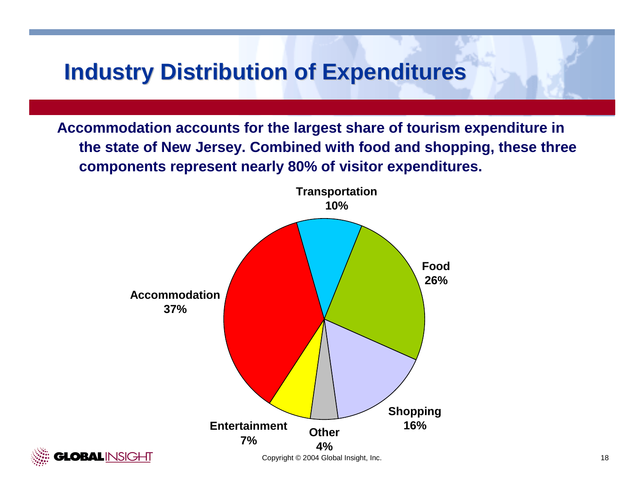## **Industry Distribution of Expenditures Industry Distribution of Expenditures**

**Accommodation accounts for the largest share of tourism expenditure in the state of New Jersey. Combined with food and shopping, these three components represent nearly 80% of visitor expenditures.**



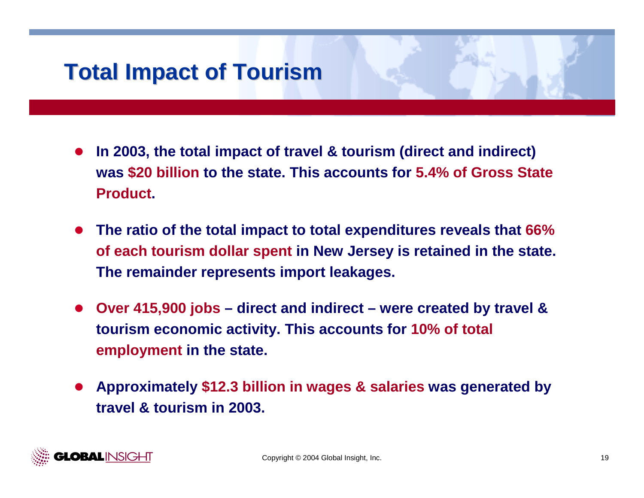## **Total Impact of Tourism Total Impact of Tourism**

- $\bullet$  **In 2003, the total impact of travel & tourism (direct and indirect) was \$20 billion to the state. This accounts for 5.4% of Gross State Product.**
- $\bullet$  **The ratio of the total impact to total expenditures reveals that 66% of each tourism dollar spent in New Jersey is retained in the state. The remainder represents import leakages.**
- $\bullet$  **Over 415,900 jobs – direct and indirect – were created by travel & tourism economic activity. This accounts for 10% of total employment in the state.**
- $\bullet$  **Approximately \$12.3 billion in wages & salaries was generated by travel & tourism in 2003.**

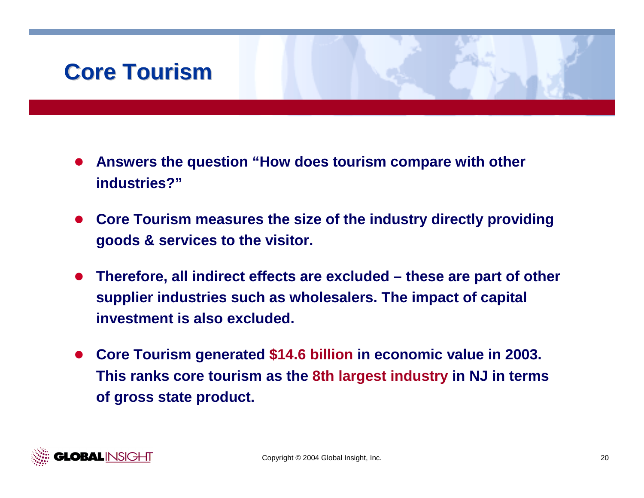## **Core Tourism Core Tourism**

- $\bullet$  **Answers the question "How does tourism compare with other industries?"**
- $\bullet$  **Core Tourism measures the size of the industry directly providing goods & services to the visitor.**
- $\bullet$  **Therefore, all indirect effects are excluded – these are part of other supplier industries such as wholesalers. The impact of capital investment is also excluded.**
- " **Core Tourism generated \$14.6 billion in economic value in 2003. This ranks core tourism as the 8th largest industry in NJ in terms of gross state product.**

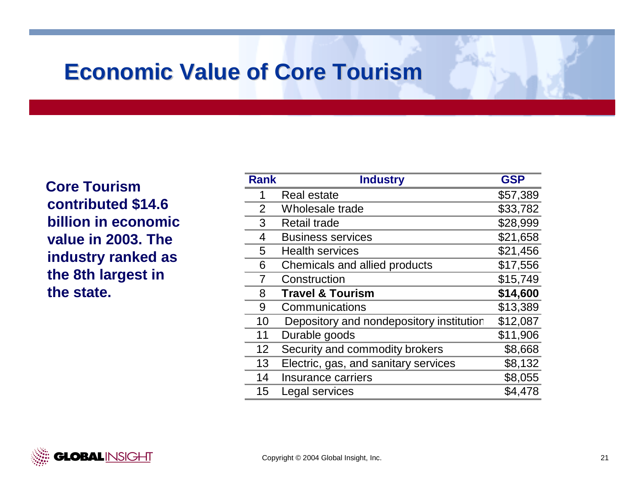## **Economic Value of Core Tourism Economic Value of Core Tourism**

**Core Tourism contributed \$14.6 billion in economic value in 2003. The industry ranked as the 8th largest in the state.** 

| <b>Rank</b>    | <b>Industry</b>                          | <b>GSP</b> |
|----------------|------------------------------------------|------------|
| 1              | <b>Real estate</b>                       | \$57,389   |
| $\overline{2}$ | Wholesale trade                          | \$33,782   |
| 3              | <b>Retail trade</b>                      | \$28,999   |
| 4              | <b>Business services</b>                 | \$21,658   |
| 5              | <b>Health services</b>                   | \$21,456   |
| 6              | Chemicals and allied products            | \$17,556   |
| 7              | Construction                             | \$15,749   |
| 8              | <b>Travel &amp; Tourism</b>              | \$14,600   |
| 9              | Communications                           | \$13,389   |
| 10             | Depository and nondepository institution | \$12,087   |
| 11             | Durable goods                            | \$11,906   |
| 12             | Security and commodity brokers           | \$8,668    |
| 13             | Electric, gas, and sanitary services     | \$8,132    |
| 14             | Insurance carriers                       | \$8,055    |
| 15             | Legal services                           | \$4,478    |
|                |                                          |            |

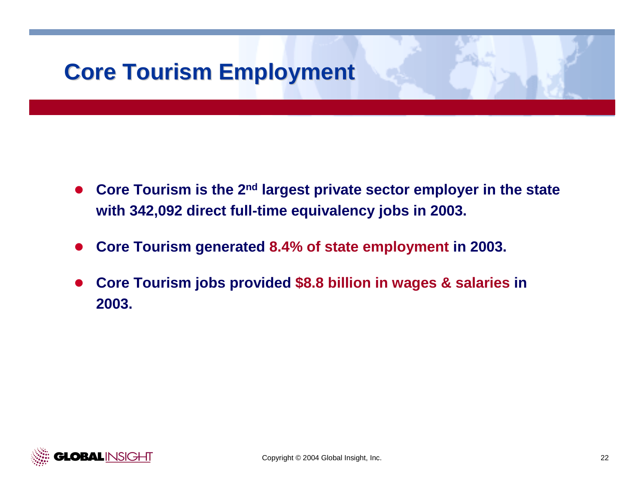# **Core Tourism Employment Core Tourism Employment**

- $\bullet$  **Core Tourism is the 2nd largest private sector employer in the state with 342,092 direct full-time equivalency jobs in 2003.**
- $\bullet$ **Core Tourism generated 8.4% of state employment in 2003.**
- $\bullet$  **Core Tourism jobs provided \$8.8 billion in wages & salaries in 2003.**

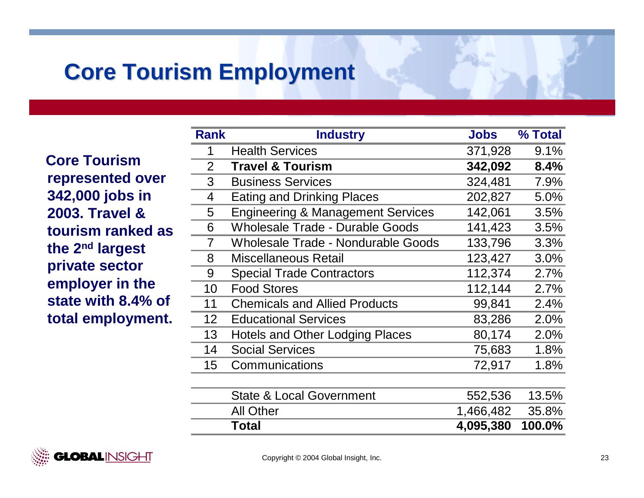## **Core Tourism Employment Core Tourism Employment**

**Core Tourism represented over 342,000 jobs in 2003. Travel & tourism ranked as the 2nd largest private sector employer in the state with 8.4% of total employment.** 

| <b>Rank</b>     | <b>Industry</b>                              | Jobs      | % Total |
|-----------------|----------------------------------------------|-----------|---------|
| 1               | <b>Health Services</b>                       | 371,928   | 9.1%    |
| $\overline{2}$  | <b>Travel &amp; Tourism</b>                  | 342,092   | 8.4%    |
| 3               | <b>Business Services</b>                     | 324,481   | 7.9%    |
| 4               | <b>Eating and Drinking Places</b>            | 202,827   | 5.0%    |
| 5               | <b>Engineering &amp; Management Services</b> | 142,061   | 3.5%    |
| 6               | <b>Wholesale Trade - Durable Goods</b>       | 141,423   | 3.5%    |
| $\overline{7}$  | <b>Wholesale Trade - Nondurable Goods</b>    | 133,796   | 3.3%    |
| 8               | <b>Miscellaneous Retail</b>                  | 123,427   | 3.0%    |
| 9               | <b>Special Trade Contractors</b>             | 112,374   | 2.7%    |
| 10              | <b>Food Stores</b>                           | 112,144   | 2.7%    |
| 11              | <b>Chemicals and Allied Products</b>         | 99,841    | 2.4%    |
| 12 <sub>2</sub> | <b>Educational Services</b>                  | 83,286    | 2.0%    |
| 13              | <b>Hotels and Other Lodging Places</b>       | 80,174    | 2.0%    |
| 14              | <b>Social Services</b>                       | 75,683    | 1.8%    |
| 15              | Communications                               | 72,917    | 1.8%    |
|                 |                                              |           |         |
|                 | <b>State &amp; Local Government</b>          | 552,536   | 13.5%   |
|                 | <b>All Other</b>                             | 1,466,482 | 35.8%   |
|                 | <b>Total</b>                                 | 4,095,380 | 100.0%  |

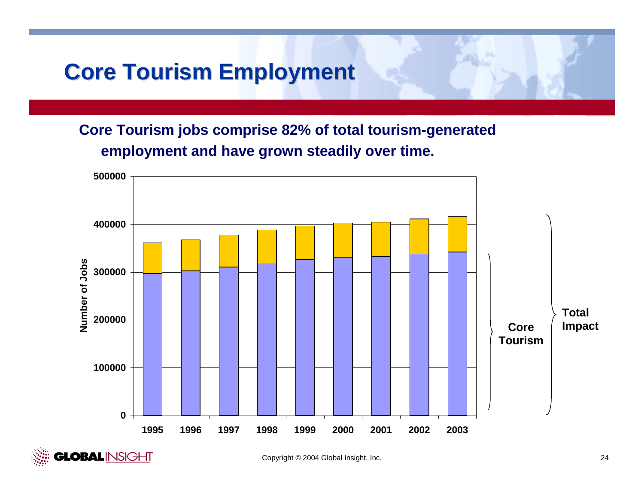## **Core Tourism Employment Core Tourism Employment**

**Core Tourism jobs comprise 82% of total tourism-generated employment and have grown steadily over time.**



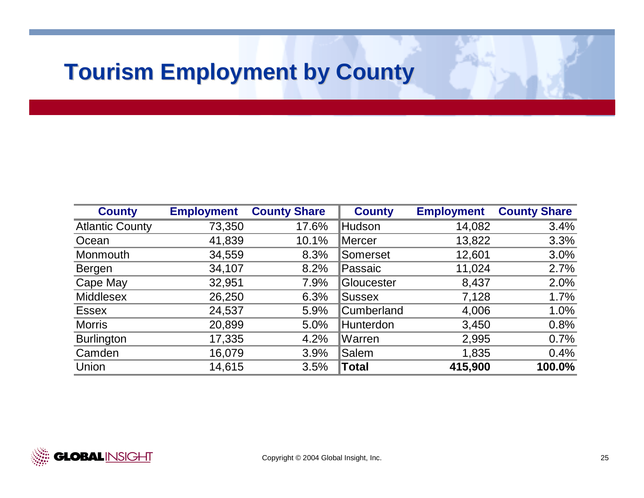## **Tourism Employment by County Tourism Employment by County**

| <b>County</b>          | <b>Employment</b> | <b>County Share</b> | <b>County</b>     | <b>Employment</b> | <b>County Share</b> |
|------------------------|-------------------|---------------------|-------------------|-------------------|---------------------|
| <b>Atlantic County</b> | 73,350            | 17.6%               | Hudson            | 14,082            | 3.4%                |
| Ocean                  | 41,839            | 10.1%               | <b>Mercer</b>     | 13,822            | 3.3%                |
| Monmouth               | 34,559            | 8.3%                | <b>Somerset</b>   | 12,601            | 3.0%                |
| <b>Bergen</b>          | 34,107            | 8.2%                | Passaic           | 11,024            | 2.7%                |
| Cape May               | 32,951            | 7.9%                | <b>Sloucester</b> | 8,437             | 2.0%                |
| <b>Middlesex</b>       | 26,250            | 6.3%                | <b>Sussex</b>     | 7,128             | 1.7%                |
| <b>Essex</b>           | 24,537            | 5.9%                | <b>Cumberland</b> | 4,006             | 1.0%                |
| <b>Morris</b>          | 20,899            | 5.0%                | Hunterdon         | 3,450             | 0.8%                |
| <b>Burlington</b>      | 17,335            | 4.2%                | <b>Warren</b>     | 2,995             | 0.7%                |
| Camden                 | 16,079            | 3.9%                | <b>Salem</b>      | 1,835             | 0.4%                |
| Union                  | 14,615            | 3.5%                | ∥Total            | 415,900           | 100.0%              |

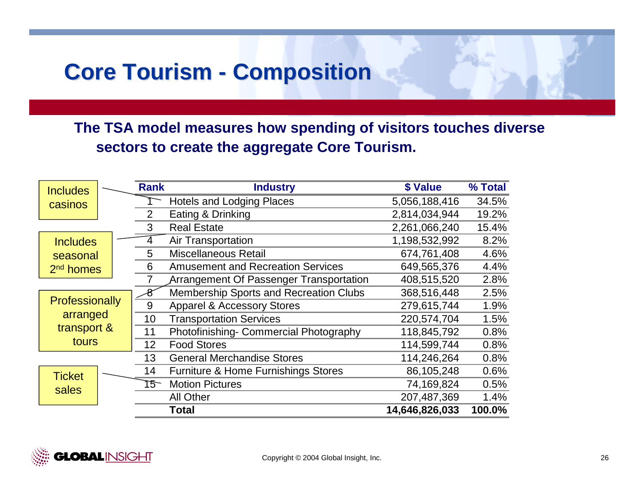### **Core Tourism -Composition Composition**

**The TSA model measures how spending of visitors touches diverse sectors to create the aggregate Core Tourism.**

| <b>Includes</b>       | <b>Rank</b>     | <b>Industry</b>                                | \$ Value       | % Total |
|-----------------------|-----------------|------------------------------------------------|----------------|---------|
| casinos               |                 | <b>Hotels and Lodging Places</b>               | 5,056,188,416  | 34.5%   |
|                       | $\overline{2}$  | Eating & Drinking                              | 2,814,034,944  | 19.2%   |
|                       | 3               | <b>Real Estate</b>                             | 2,261,066,240  | 15.4%   |
| <b>Includes</b>       |                 | <b>Air Transportation</b>                      | 1,198,532,992  | 8.2%    |
| seasonal              | 5               | <b>Miscellaneous Retail</b>                    | 674,761,408    | 4.6%    |
| 2 <sup>nd</sup> homes | 6               | <b>Amusement and Recreation Services</b>       | 649,565,376    | 4.4%    |
|                       |                 | <b>Arrangement Of Passenger Transportation</b> | 408,515,520    | 2.8%    |
|                       |                 | Membership Sports and Recreation Clubs         | 368,516,448    | 2.5%    |
| Professionally        | 9               | <b>Apparel &amp; Accessory Stores</b>          | 279,615,744    | 1.9%    |
| arranged              | 10              | <b>Transportation Services</b>                 | 220,574,704    | 1.5%    |
| transport &           | 11              | Photofinishing- Commercial Photography         | 118,845,792    | 0.8%    |
| tours                 | 12 <sup>2</sup> | <b>Food Stores</b>                             | 114,599,744    | 0.8%    |
|                       | 13              | <b>General Merchandise Stores</b>              | 114,246,264    | 0.8%    |
| <b>Ticket</b>         | 14              | <b>Furniture &amp; Home Furnishings Stores</b> | 86,105,248     | 0.6%    |
| sales                 | 15              | <b>Motion Pictures</b>                         | 74,169,824     | 0.5%    |
|                       |                 | <b>All Other</b>                               | 207,487,369    | 1.4%    |
|                       |                 | Total                                          | 14,646,826,033 | 100.0%  |

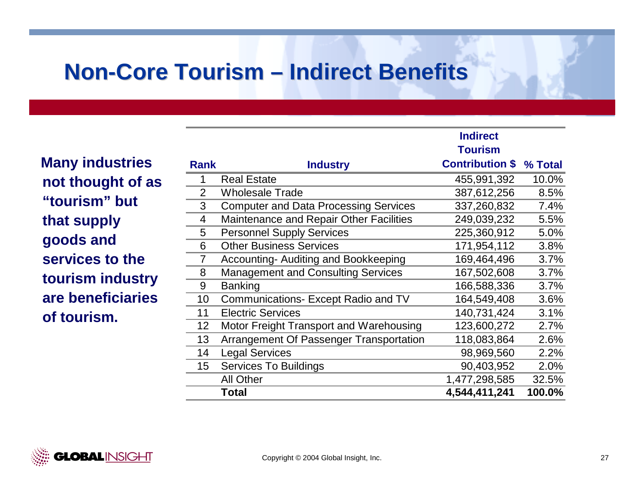## **Non-Core Tourism – Indirect Benefits**

**Many industries not thought of as "tourism" but that supply goods and services to the tourism industry are beneficiaries of tourism.** 

|                |                                                | iliuli cul             |         |
|----------------|------------------------------------------------|------------------------|---------|
|                |                                                | <b>Tourism</b>         |         |
| <b>Rank</b>    | <b>Industry</b>                                | <b>Contribution \$</b> | % Total |
|                | <b>Real Estate</b>                             | 455,991,392            | 10.0%   |
| $\overline{2}$ | <b>Wholesale Trade</b>                         | 387,612,256            | 8.5%    |
| 3              | <b>Computer and Data Processing Services</b>   | 337,260,832            | 7.4%    |
| 4              | <b>Maintenance and Repair Other Facilities</b> | 249,039,232            | 5.5%    |
| 5              | <b>Personnel Supply Services</b>               | 225,360,912            | 5.0%    |
| 6              | <b>Other Business Services</b>                 | 171,954,112            | 3.8%    |
| 7              | Accounting- Auditing and Bookkeeping           | 169,464,496            | 3.7%    |
| 8              | <b>Management and Consulting Services</b>      | 167,502,608            | 3.7%    |
| 9              | <b>Banking</b>                                 | 166,588,336            | 3.7%    |
| 10             | Communications- Except Radio and TV            | 164,549,408            | 3.6%    |
| 11             | <b>Electric Services</b>                       | 140,731,424            | 3.1%    |
| 12             | Motor Freight Transport and Warehousing        | 123,600,272            | 2.7%    |
| 13             | Arrangement Of Passenger Transportation        | 118,083,864            | 2.6%    |
| 14             | <b>Legal Services</b>                          | 98,969,560             | 2.2%    |
| 15             | <b>Services To Buildings</b>                   | 90,403,952             | 2.0%    |
|                | <b>All Other</b>                               | 1,477,298,585          | 32.5%   |
|                | <b>Total</b>                                   | 4,544,411,241          | 100.0%  |

**Indirect** 

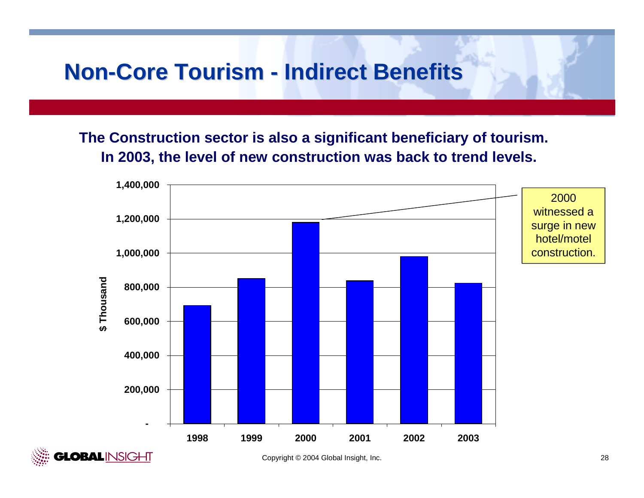## **Non-Core Tourism - Indirect Benefits**

**The Construction sector is also a significant beneficiary of tourism. In 2003, the level of new construction was back to trend levels.**





Copyright © 2004 Global Insight, Inc. 28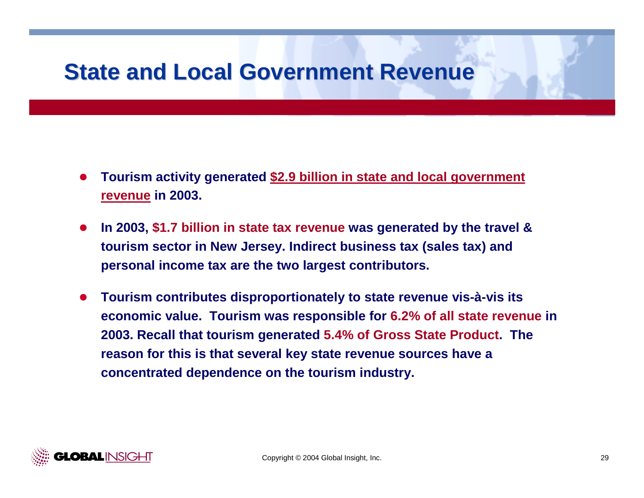## **State and Local Government Revenue State and Local Government Revenue**

- $\bullet$  **Tourism activity generated \$2.9 billion in state and local government revenue in 2003.**
- $\bullet$  **In 2003, \$1.7 billion in state tax revenue was generated by the travel & tourism sector in New Jersey. Indirect business tax (sales tax) and personal income tax are the two largest contributors.**
- $\bullet$  **Tourism contributes disproportionately to state revenue vis-à-vis its economic value. Tourism was responsible for 6.2% of all state revenue in 2003. Recall that tourism generated 5.4% of Gross State Product. The reason for this is that several key state revenue sources have a concentrated dependence on the tourism industry.**

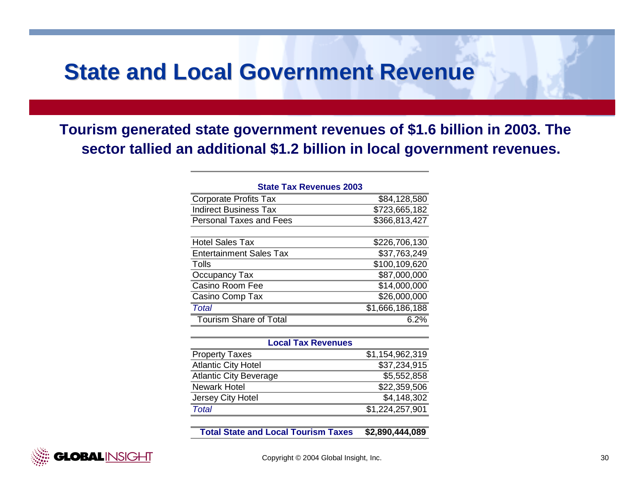## **State and Local Government Revenue State and Local Government Revenue**

**Tourism generated state government revenues of \$1.6 billion in 2003. The sector tallied an additional \$1.2 billion in local government revenues.**

| <b>State Tax Revenues 2003</b> |                 |
|--------------------------------|-----------------|
| <b>Corporate Profits Tax</b>   | \$84,128,580    |
| <b>Indirect Business Tax</b>   | \$723,665,182   |
| <b>Personal Taxes and Fees</b> | \$366,813,427   |
|                                |                 |
| <b>Hotel Sales Tax</b>         | \$226,706,130   |
| <b>Entertainment Sales Tax</b> | \$37,763,249    |
| Tolls                          | \$100,109,620   |
| Occupancy Tax                  | \$87,000,000    |
| Casino Room Fee                | \$14,000,000    |
| Casino Comp Tax                | \$26,000,000    |
| Total                          | \$1,666,186,188 |
| <b>Tourism Share of Total</b>  | 6.2%            |

| <b>Local Tax Revenues</b>     |                 |  |  |  |  |  |
|-------------------------------|-----------------|--|--|--|--|--|
| <b>Property Taxes</b>         | \$1,154,962,319 |  |  |  |  |  |
| <b>Atlantic City Hotel</b>    | \$37,234,915    |  |  |  |  |  |
| <b>Atlantic City Beverage</b> | \$5,552,858     |  |  |  |  |  |
| <b>Newark Hotel</b>           | \$22,359,506    |  |  |  |  |  |
| Jersey City Hotel             | \$4,148,302     |  |  |  |  |  |
| Total                         | \$1,224,257,901 |  |  |  |  |  |

**Total State and Local Tourism Taxes\$2,890,444,089**

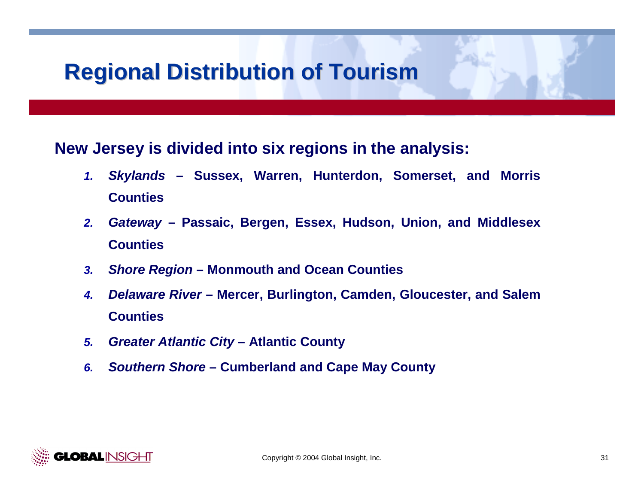## **Regional Distribution of Tourism Regional Distribution of Tourism**

### **New Jersey is divided into six regions in the analysis:**

- *1. Skylands* **– Sussex, Warren, Hunterdon, Somerset, and Morris Counties**
- *2. Gateway* **– Passaic, Bergen, Essex, Hudson, Union, and Middlesex Counties**
- *3.Shore Region* **– Monmouth and Ocean Counties**
- *4. Delaware River* **– Mercer, Burlington, Camden, Gloucester, and Salem Counties**
- *5.Greater Atlantic City* **– Atlantic County**
- *6.Southern Shore* **– Cumberland and Cape May County**

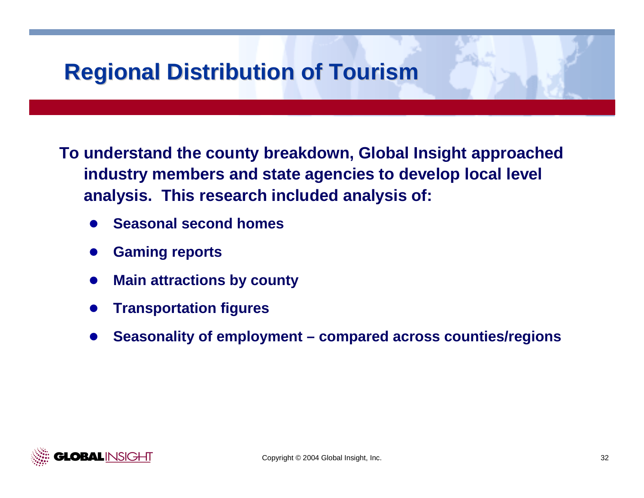## **Regional Distribution of Tourism Regional Distribution of Tourism**

**To understand the county breakdown, Global Insight approached industry members and state agencies to develop local level analysis. This research included analysis of:**

- $\bullet$ **Seasonal second homes**
- $\bullet$ **Gaming reports**
- $\bullet$ **Main attractions by county**
- $\bullet$ **Transportation figures**
- $\bullet$ **Seasonality of employment – compared across counties/regions**

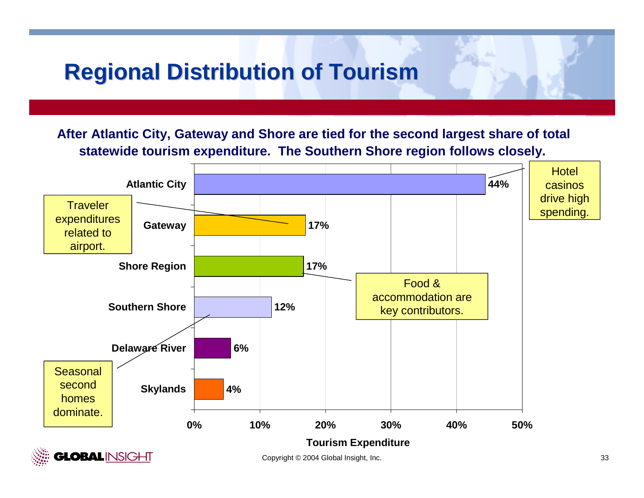## **Regional Distribution of Tourism Regional Distribution of Tourism**

**After Atlantic City, Gateway and Shore are tied for the second largest share of total statewide tourism expenditure. The Southern Shore region follows closely.**

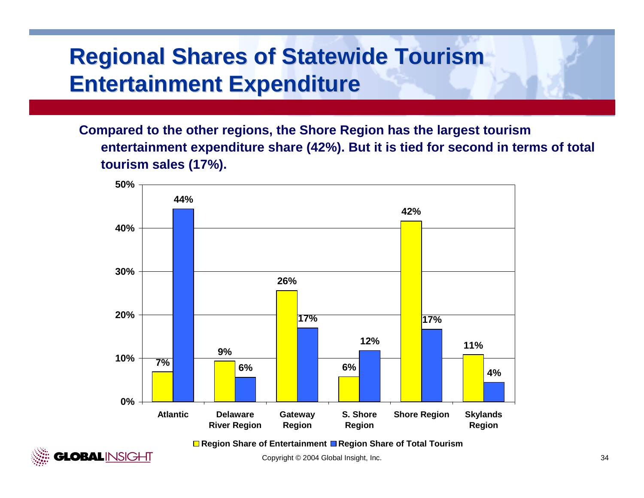# **Regional Shares of Statewide Tourism Entertainment Expenditure Entertainment Expenditure**

**Compared to the other regions, the Shore Region has the largest tourism entertainment expenditure share (42%). But it is tied for second in terms of total tourism sales (17%).** 



**Region Share of Entertainment Region Share of Total Tourism**

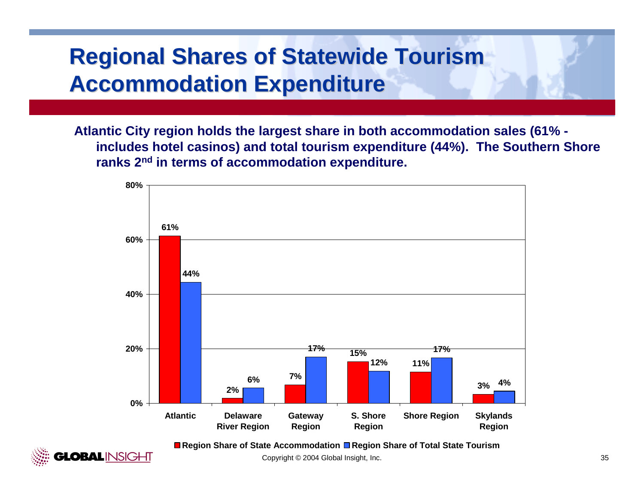# **Regional Shares of Statewide Tourism Accommodation Expenditure Accommodation Expenditure**

**Atlantic City region holds the largest share in both accommodation sales (61% includes hotel casinos) and total tourism expenditure (44%). The Southern Shore ranks 2n<sup>d</sup> in terms of accommodation expenditure.**



**Region Share of State Accommodation Region Share of Total State Tourism**

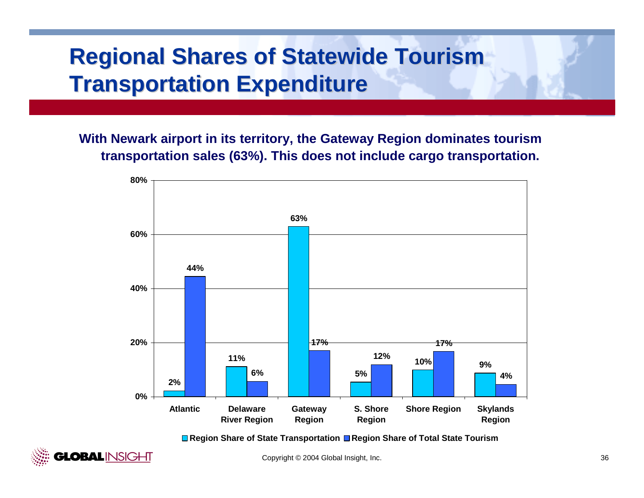# **Regional Shares of Statewide Tourism Transportation Expenditure**

**With Newark airport in its territory, the Gateway Region dominates tourism transportation sales (63%). This does not include cargo transportation.**



■ Region Share of State Transportation ■ Region Share of Total State Tourism

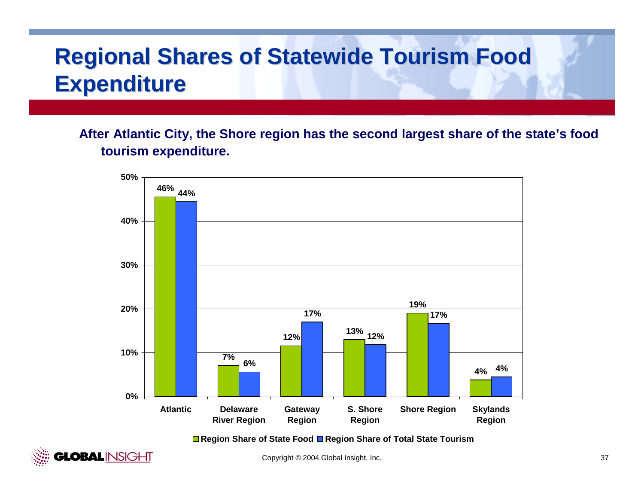# **Regional Shares of Statewide Tourism Food Expenditure Expenditure**

**After Atlantic City, the Shore region has the second largest share of the state's food tourism expenditure.** 



■ Region Share of State Food ■ Region Share of Total State Tourism

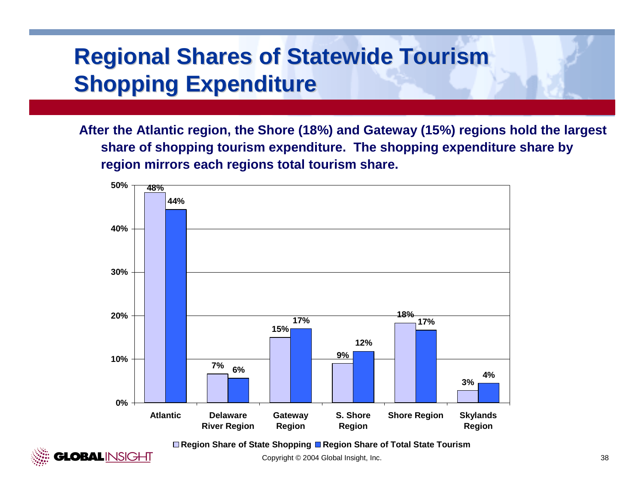# **Regional Shares of Statewide Tourism Shopping Expenditure Shopping Expenditure**

**After the Atlantic region, the Shore (18%) and Gateway (15%) regions hold the largest share of shopping tourism expenditure. The shopping expenditure share by region mirrors each regions total tourism share.**



**Region Share of State Shopping Region Share of Total State Tourism**

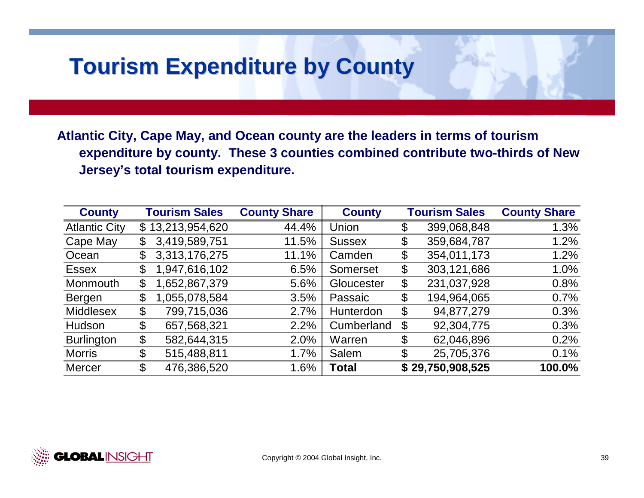## **Tourism Expenditure by County Tourism Expenditure by County**

**Atlantic City, Cape May, and Ocean county are the leaders in terms of tourism expenditure by county. These 3 counties combined contribute two-thirds of New Jersey's total tourism expenditure.**

| <b>County</b>        |             | <b>Tourism Sales</b> | <b>County Share</b> | <b>County</b> | <b>Tourism Sales</b> | <b>County Share</b> |
|----------------------|-------------|----------------------|---------------------|---------------|----------------------|---------------------|
| <b>Atlantic City</b> | $\mathbb S$ | 13,213,954,620       | 44.4%               | Union         | \$<br>399,068,848    | 1.3%                |
| Cape May             | \$          | 3,419,589,751        | 11.5%               | <b>Sussex</b> | \$<br>359,684,787    | 1.2%                |
| Ocean                | $\mathbb S$ | 3,313,176,275        | 11.1%               | Camden        | \$<br>354,011,173    | 1.2%                |
| <b>Essex</b>         | \$          | 1,947,616,102        | 6.5%                | Somerset      | \$<br>303,121,686    | 1.0%                |
| Monmouth             | \$          | 1,652,867,379        | 5.6%                | Gloucester    | \$<br>231,037,928    | 0.8%                |
| Bergen               | \$          | 1,055,078,584        | 3.5%                | Passaic       | \$<br>194,964,065    | 0.7%                |
| <b>Middlesex</b>     | \$          | 799,715,036          | 2.7%                | Hunterdon     | \$<br>94,877,279     | 0.3%                |
| Hudson               | \$          | 657,568,321          | 2.2%                | Cumberland    | \$<br>92,304,775     | 0.3%                |
| <b>Burlington</b>    | \$          | 582,644,315          | 2.0%                | Warren        | \$<br>62,046,896     | 0.2%                |
| <b>Morris</b>        | \$          | 515,488,811          | 1.7%                | Salem         | \$<br>25,705,376     | 0.1%                |
| <b>Mercer</b>        | \$          | 476,386,520          | 1.6%                | <b>Total</b>  | \$29,750,908,525     | 100.0%              |

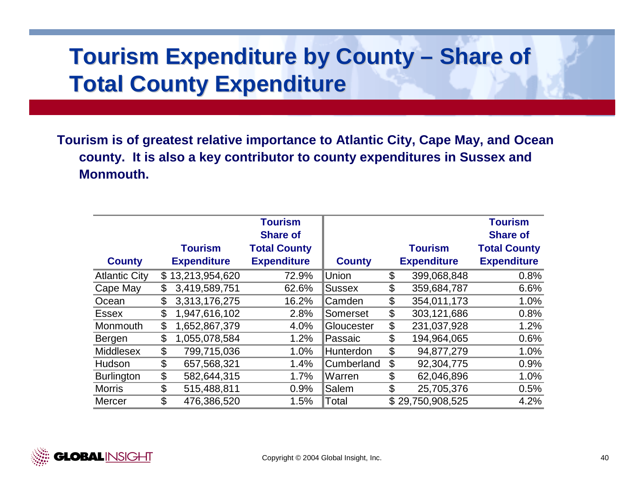## **Tourism Expenditure by County** *<u>–* Share of</u> **Total County Expenditure**

**Tourism is of greatest relative importance to Atlantic City, Cape May, and Ocean county. It is also a key contributor to county expenditures in Sussex and Monmouth.**

|                      |                     | <b>Tourism</b><br><b>Share of</b> |                  |                           |                    | <b>Tourism</b><br><b>Share of</b> |
|----------------------|---------------------|-----------------------------------|------------------|---------------------------|--------------------|-----------------------------------|
|                      | <b>Tourism</b>      | <b>Total County</b>               |                  |                           | <b>Tourism</b>     | <b>Total County</b>               |
| <b>County</b>        | <b>Expenditure</b>  | <b>Expenditure</b>                | <b>County</b>    |                           | <b>Expenditure</b> | <b>Expenditure</b>                |
| <b>Atlantic City</b> | \$13,213,954,620    | 72.9%                             | Union            | \$                        | 399,068,848        | 0.8%                              |
| Cape May             | \$<br>3,419,589,751 | 62.6%                             | <b>Sussex</b>    | \$                        | 359,684,787        | 6.6%                              |
| Ocean                | \$<br>3,313,176,275 | 16.2%                             | Camden           | \$                        | 354,011,173        | 1.0%                              |
| <b>Essex</b>         | \$<br>1,947,616,102 | 2.8%                              | Somerset         | \$                        | 303,121,686        | 0.8%                              |
| Monmouth             | \$<br>1,652,867,379 | 4.0%                              | Gloucester       | \$                        | 231,037,928        | 1.2%                              |
| Bergen               | \$<br>1,055,078,584 | 1.2%                              | Passaic          | \$                        | 194,964,065        | 0.6%                              |
| <b>Middlesex</b>     | \$<br>799,715,036   | 1.0%                              | <b>Hunterdon</b> | $\boldsymbol{\mathsf{S}}$ | 94,877,279         | 1.0%                              |
| Hudson               | \$<br>657,568,321   | 1.4%                              | Cumberland       | \$                        | 92,304,775         | 0.9%                              |
| <b>Burlington</b>    | \$<br>582,644,315   | 1.7%                              | Warren           | \$                        | 62,046,896         | 1.0%                              |
| <b>Morris</b>        | \$<br>515,488,811   | 0.9%                              | Salem            | \$                        | 25,705,376         | 0.5%                              |
| <b>Mercer</b>        | \$<br>476,386,520   | 1.5%                              | Total            |                           | \$29,750,908,525   | 4.2%                              |

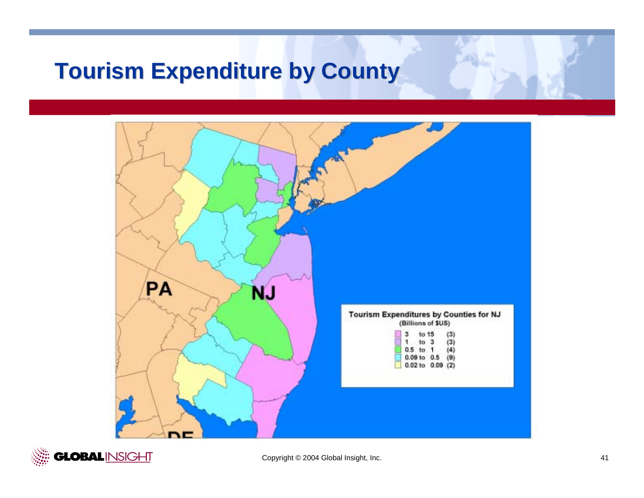## **Tourism Expenditure by County**



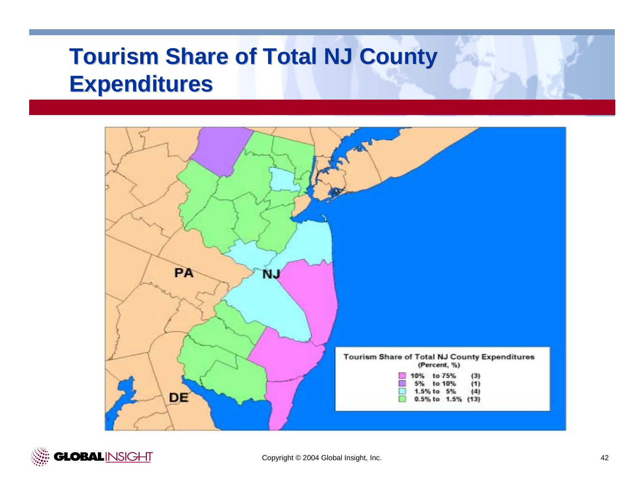# **Tourism Share of Total NJ County Expenditures Expenditures**



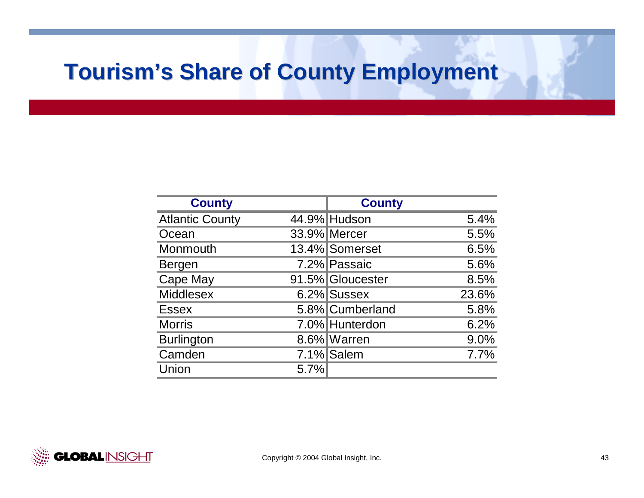# **Tourism's Share of County Employment Tourism's Share of County Employment**

| <b>County</b>          |      | <b>County</b>    |       |
|------------------------|------|------------------|-------|
| <b>Atlantic County</b> |      | 44.9% Hudson     | 5.4%  |
| Ocean                  |      | 33.9% Mercer     | 5.5%  |
| Monmouth               |      | 13.4% Somerset   | 6.5%  |
| Bergen                 |      | 7.2% Passaic     | 5.6%  |
| <b>Cape May</b>        |      | 91.5% Gloucester | 8.5%  |
| <b>Middlesex</b>       |      | 6.2% Sussex      | 23.6% |
| <b>Essex</b>           |      | 5.8% Cumberland  | 5.8%  |
| <b>Morris</b>          |      | 7.0% Hunterdon   | 6.2%  |
| <b>Burlington</b>      |      | 8.6% Warren      | 9.0%  |
| Camden                 |      | 7.1% Salem       | 7.7%  |
| Union                  | 5.7% |                  |       |

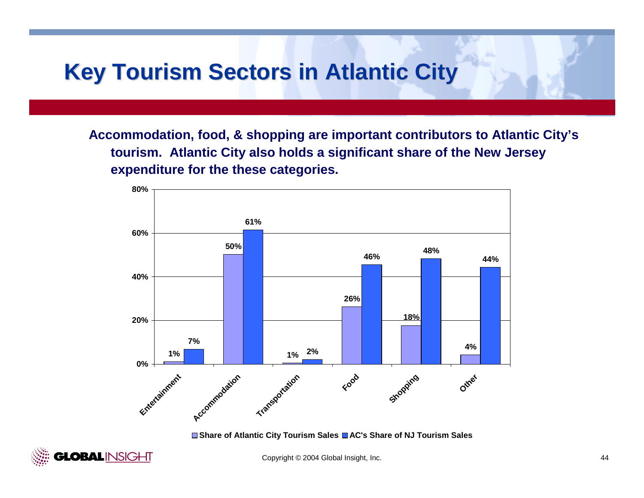## **Key Tourism Sectors in Atlantic City Key Tourism Sectors in Atlantic City**

**Accommodation, food, & shopping are important contributors to Atlantic City's tourism. Atlantic City also holds a significant share of the New Jersey expenditure for the these categories.**



■ Share of Atlantic City Tourism Sales ■ AC's Share of NJ Tourism Sales

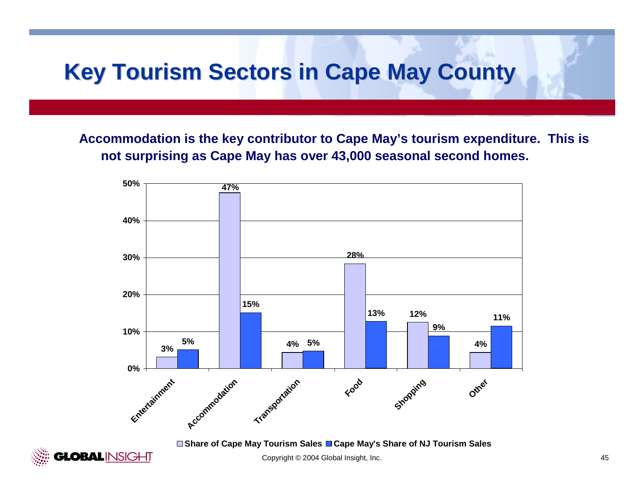## **Key Tourism Sectors in Cape May County Key Tourism Sectors in Cape May County**

**Accommodation is the key contributor to Cape May's tourism expenditure. This is not surprising as Cape May has over 43,000 seasonal second homes.**



**Share of Cape May Tourism Sales Cape May's Share of NJ Tourism Sales**

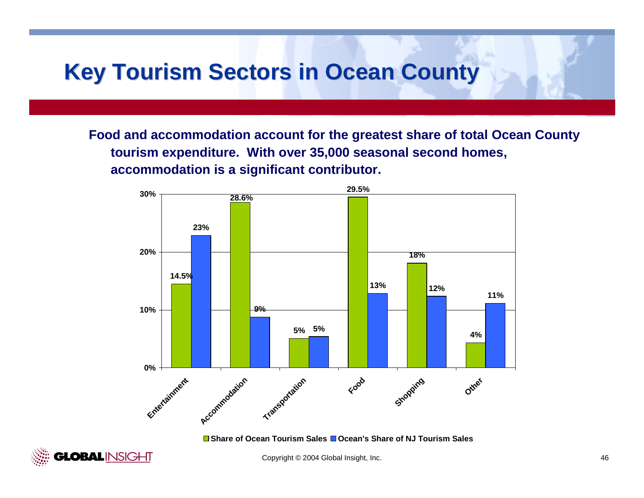## **Key Tourism Sectors in Ocean County**

**Food and accommodation account for the greatest share of total Ocean County tourism expenditure. With over 35,000 seasonal second homes, accommodation is a significant contributor.**



**Share of Ocean Tourism Sales Ocean's Share of NJ Tourism Sales**

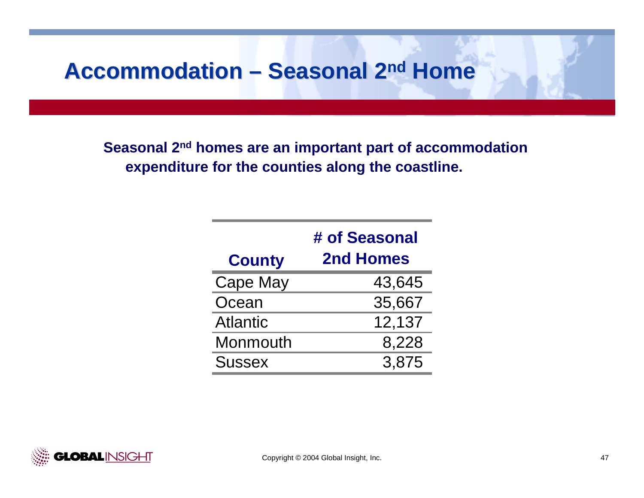## **Accommodation – Seasonal 2<sup>nd</sup> Home**

**Seasonal 2nd homes are an important part of accommodation expenditure for the counties along the coastline.** 

|                 | # of Seasonal    |
|-----------------|------------------|
| <b>County</b>   | <b>2nd Homes</b> |
| <b>Cape May</b> | 43,645           |
| Ocean           | 35,667           |
| <b>Atlantic</b> | 12,137           |
| Monmouth        | 8,228            |
| <b>Sussex</b>   | 3.875            |

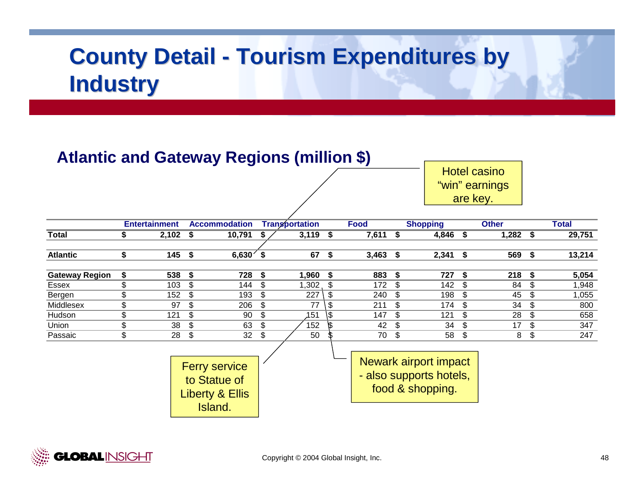## **Atlantic and Gateway Regions (million \$)**

to Statue of Liberty & Ellis Island.

Hotel casino "win" earnings are key.

|                       |     | <b>Entertainment</b> |      | <b>Accommodation</b> |     | <b>Transportation</b> |     | <b>Food</b> |      | <b>Shopping</b>              |     | <b>Other</b> |      | Total  |
|-----------------------|-----|----------------------|------|----------------------|-----|-----------------------|-----|-------------|------|------------------------------|-----|--------------|------|--------|
| <b>Total</b>          |     | 2,102                | - \$ | 10,791               |     | 3,119                 | \$  | 7,611       | \$   | 4,846                        | \$  | 1,282        | - \$ | 29,751 |
| <b>Atlantic</b>       | \$  | 145                  | \$   | 6,630'               | \$  | 67                    | \$  | 3,463       | \$   | 2,341                        | \$  | 569          | -\$  | 13,214 |
| <b>Gateway Region</b> | S.  | 538                  | -\$  | 728                  | S   | 1,960                 | \$  | 883         | - \$ | 727                          | S.  | 218          | - \$ | 5,054  |
| Essex                 | \$  | 103                  | \$   | 144                  | \$  | $1,302$ ,             | \$  | 172         | \$   | 142                          | S   | 84           | \$   | 1,948  |
| Bergen                | \$  | 152                  | \$   | 193                  | \$  | 227                   | \$  | 240         | \$   | 198                          | \$  | 45           | \$   | 1,055  |
| Middlesex             | \$  | 97                   | \$   | 206                  | \$. | 77                    | \$  | 211         | \$   | 174                          | \$  | 34           | \$   | 800    |
| Hudson                | \$. | 121                  | \$   | 90                   | \$  | 151                   | \\$ | 147         | -\$  | 121                          | \$  | 28           | -\$  | 658    |
| Union                 | \$  | 38                   | \$   | 63                   | \$  | 152                   |     | 42          | \$   | 34                           | \$  | 17           | \$   | 347    |
| Passaic               | \$  | 28                   | \$   | 32                   | \$  | 50                    |     | 70          | \$   | 58                           | -\$ | 8            | \$   | 247    |
|                       |     |                      |      | <b>Ferry service</b> |     |                       |     |             |      | <b>Newark airport impact</b> |     |              |      |        |

- also supports hotels, food & shopping.

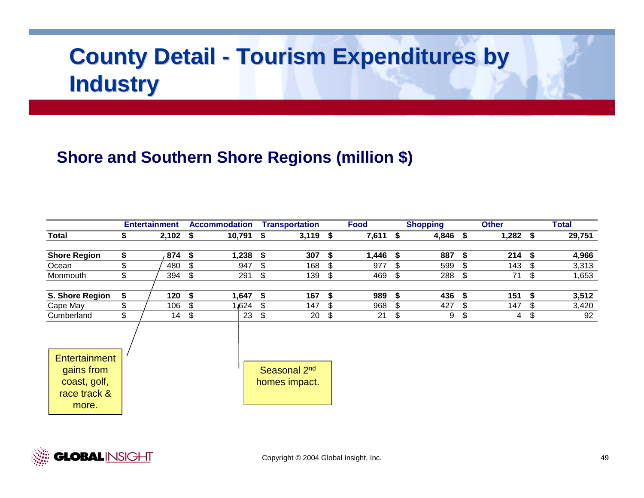## **Shore and Southern Shore Regions (million \$)**

|                     | <b>Entertainment</b> |                            | <b>Accommodation</b> | <b>Transportation</b>    |      | <b>Food</b> | <b>Shopping</b> | <b>Other</b>     |     | <b>Total</b> |
|---------------------|----------------------|----------------------------|----------------------|--------------------------|------|-------------|-----------------|------------------|-----|--------------|
| <b>Total</b>        | \$<br>$2,102$ \$     |                            | 10,791               | \$<br>3,119              | - \$ | 7,611       | \$<br>4,846     | \$<br>$1,282$ \$ |     | 29,751       |
|                     |                      |                            |                      |                          |      |             |                 |                  |     |              |
| <b>Shore Region</b> | \$<br>874            | \$                         | 1,238                | \$<br>307                | \$   | 1,446       | \$<br>887       | \$<br>214        | -\$ | 4,966        |
| Ocean               | \$<br>480            | \$                         | 947                  | \$<br>168                | \$   | 977         | \$<br>599       | \$<br>143        | -\$ | 3,313        |
| Monmouth            | \$<br>394            | \$                         | 291                  | \$<br>139                | \$   | 469         | \$<br>288       | \$<br>71         | \$  | 1,653        |
|                     |                      |                            |                      |                          |      |             |                 |                  |     |              |
| S. Shore Region     | \$<br>120            | -\$                        | 1,647                | \$<br>167                | \$   | 989         | \$<br>436       | \$<br>151        | -\$ | 3,512        |
| Cape May            | \$<br>106            | $\boldsymbol{\mathcal{F}}$ | 1,624                | \$<br>147                | \$   | 968         | \$<br>427       | \$<br>147        | -\$ | 3,420        |
| Cumberland          | \$<br>14             | \$                         | 23                   | \$<br>20                 | \$   | 21          | \$<br>9         | \$<br>4          | \$  | 92           |
|                     |                      |                            |                      |                          |      |             |                 |                  |     |              |
|                     |                      |                            |                      |                          |      |             |                 |                  |     |              |
| Entertainment       |                      |                            |                      |                          |      |             |                 |                  |     |              |
| gains from          |                      |                            |                      | Seasonal 2 <sup>nd</sup> |      |             |                 |                  |     |              |
| coast, golf,        |                      |                            |                      | homes impact.            |      |             |                 |                  |     |              |
| race track &        |                      |                            |                      |                          |      |             |                 |                  |     |              |
| more.               |                      |                            |                      |                          |      |             |                 |                  |     |              |
|                     |                      |                            |                      |                          |      |             |                 |                  |     |              |

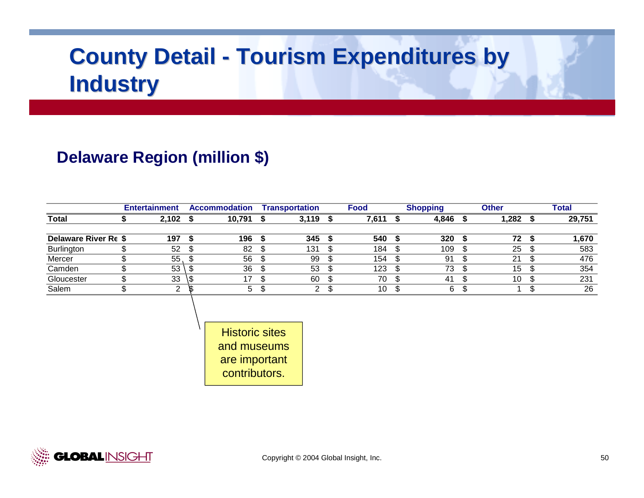## **Delaware Region (million \$)**

|                      | <b>Entertainment</b> |   | <b>Accommodation</b> |      | Transportation |   | <b>Food</b> | <b>Shopping</b> | <b>Other</b> | Total  |
|----------------------|----------------------|---|----------------------|------|----------------|---|-------------|-----------------|--------------|--------|
| Total                | 2,102                |   | 10,791               |      | 3,119          | ъ | 7,611       | 4,846           | .282         | 29,751 |
|                      |                      |   |                      |      |                |   |             |                 |              |        |
| Delaware River Re \$ | 197                  |   | 196                  |      | 345            |   | 540         | 320             | 72           | 1,670  |
| Burlington           | 52                   |   | 82                   |      | 131            |   | 184         | 109             | 25           | 583    |
| Mercer               | 55                   |   | 56                   |      | 99             |   | 154         | 91              | 21           | 476    |
| Camden               | 53                   |   | 36                   | - \$ | 53             |   | 123         | 73              | 15           | 354    |
| Gloucester           | 33                   | υ | 17                   |      | 60             |   | 70          | 41              | 10           | 231    |
| Salem                |                      |   | 5                    |      | ົ              |   | 10          | 6               |              | 26     |

Historic sites and museums are important contributors.

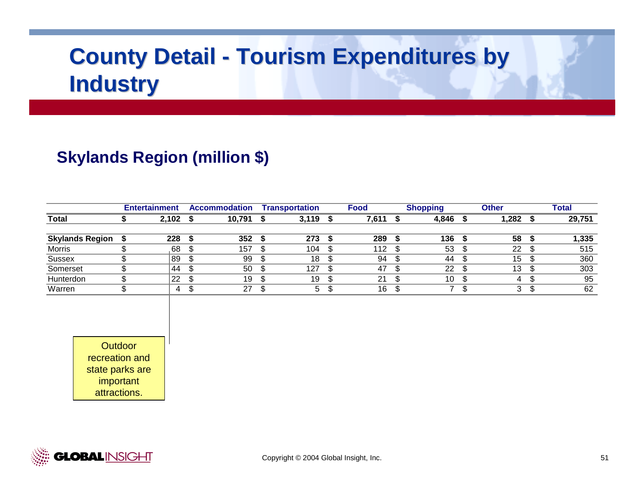## **Skylands Region (million \$)**

|                        | <b>Entertainment</b> | <b>Accommodation</b> | <b>Transportation</b> |   | <b>Food</b> | <b>Shopping</b> | <b>Other</b> | <b>Total</b> |
|------------------------|----------------------|----------------------|-----------------------|---|-------------|-----------------|--------------|--------------|
| <b>Total</b>           | 2,102                | 10,791               | 3,119                 | ъ | 7,611       | 4,846           | .282         | 29,751       |
|                        |                      |                      |                       |   |             |                 |              |              |
| <b>Skylands Region</b> | 228                  | 352                  | 273                   |   | 289         | 136             | 58           | 1,335        |
| <b>Morris</b>          | 68                   | 157                  | 104                   |   | 112         | 53              | 22           | 515          |
| <b>Sussex</b>          | 89                   | 99                   | 18                    |   | 94          | 44              | 15           | 360          |
| Somerset               | 44                   | 50                   | 127                   |   | 47          | 22              | 13           | 303          |
| Hunterdon              | 22                   | 19                   | 19                    |   | 21          | 10              |              | 95           |
| Warren                 | 4                    | 27                   | 5                     |   | 16          |                 | 3            | 62           |

**Outdoor** recreation and state parks are important attractions.

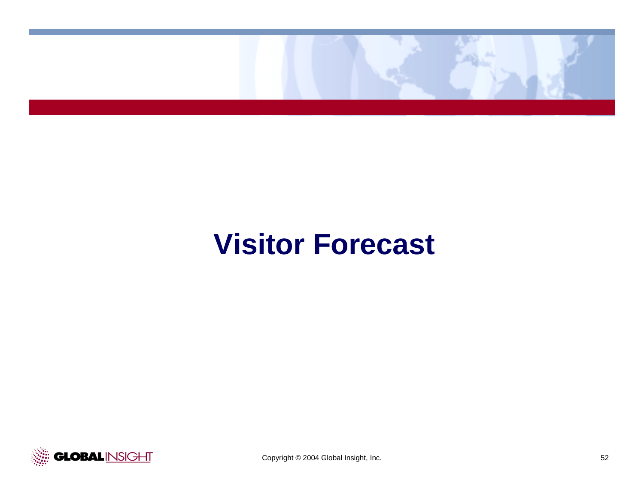

# **Visitor Forecast**

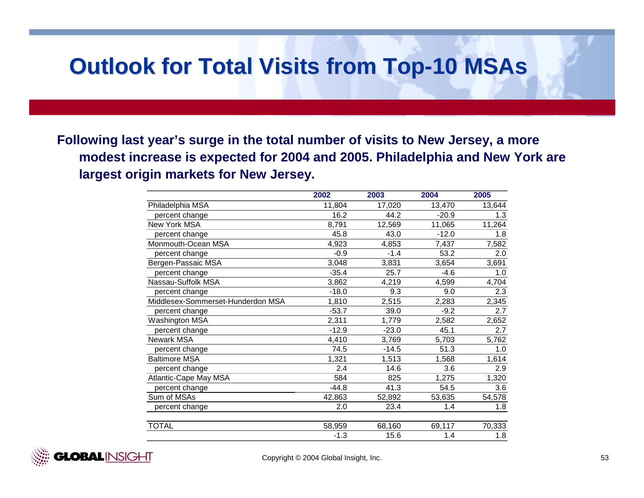## **Outlook for Total Visits from Top-10 MSAs**

**Following last year's surge in the total number of visits to New Jersey, a more modest increase is expected for 2004 and 2005. Philadelphia and New York are largest origin markets for New Jersey.**

|                                   | 2002    | 2003    | 2004    | 2005   |
|-----------------------------------|---------|---------|---------|--------|
| Philadelphia MSA                  | 11,804  | 17,020  | 13,470  | 13,644 |
| percent change                    | 16.2    | 44.2    | $-20.9$ | 1.3    |
| New York MSA                      | 8,791   | 12,569  | 11,065  | 11,264 |
| percent change                    | 45.8    | 43.0    | $-12.0$ | 1.8    |
| Monmouth-Ocean MSA                | 4,923   | 4,853   | 7,437   | 7,582  |
| percent change                    | $-0.9$  | $-1.4$  | 53.2    | 2.0    |
| Bergen-Passaic MSA                | 3,048   | 3,831   | 3,654   | 3,691  |
| percent change                    | $-35.4$ | 25.7    | $-4.6$  | 1.0    |
| Nassau-Suffolk MSA                | 3,862   | 4,219   | 4,599   | 4,704  |
| percent change                    | $-18.0$ | 9.3     | 9.0     | 2.3    |
| Middlesex-Sommerset-Hunderdon MSA | 1,810   | 2,515   | 2,283   | 2,345  |
| percent change                    | $-53.7$ | 39.0    | $-9.2$  | 2.7    |
| Washington MSA                    | 2,311   | 1,779   | 2,582   | 2,652  |
| percent change                    | $-12.9$ | $-23.0$ | 45.1    | 2.7    |
| Newark MSA                        | 4,410   | 3,769   | 5,703   | 5,762  |
| percent change                    | 74.5    | $-14.5$ | 51.3    | 1.0    |
| <b>Baltimore MSA</b>              | 1,321   | 1,513   | 1,568   | 1,614  |
| percent change                    | 2.4     | 14.6    | 3.6     | 2.9    |
| Atlantic-Cape May MSA             | 584     | 825     | 1,275   | 1,320  |
| percent change                    | $-44.8$ | 41.3    | 54.5    | 3.6    |
| Sum of MSAs                       | 42,863  | 52,892  | 53,635  | 54,578 |
| percent change                    | 2.0     | 23.4    | 1.4     | 1.8    |
| <b>TOTAL</b>                      | 58,959  | 68,160  | 69,117  | 70,333 |
|                                   | $-1.3$  | 15.6    | 1.4     | 1.8    |

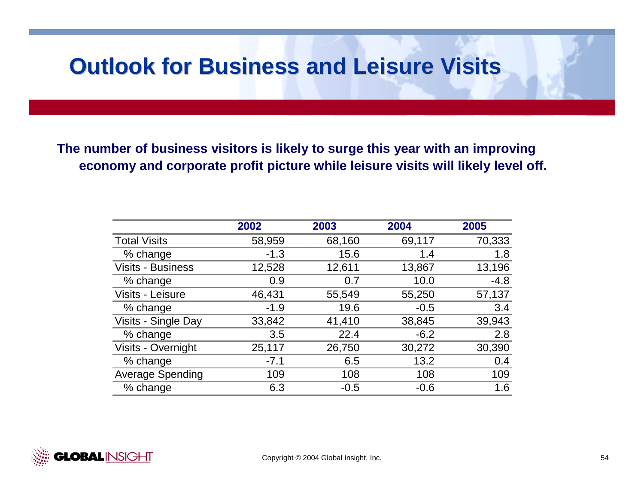## **Outlook for Business and Leisure Visits Outlook for Business and Leisure Visits**

**The number of business visitors is likely to surge this year with an improving economy and corporate profit picture while leisure visits will likely level off.**

|                          | 2002   | 2003   | 2004   | 2005   |
|--------------------------|--------|--------|--------|--------|
| <b>Total Visits</b>      | 58,959 | 68,160 | 69,117 | 70,333 |
| % change                 | $-1.3$ | 15.6   | 1.4    | 1.8    |
| <b>Visits - Business</b> | 12,528 | 12,611 | 13,867 | 13,196 |
| % change                 | 0.9    | 0.7    | 10.0   | $-4.8$ |
| Visits - Leisure         | 46,431 | 55,549 | 55,250 | 57,137 |
| % change                 | $-1.9$ | 19.6   | $-0.5$ | 3.4    |
| Visits - Single Day      | 33,842 | 41,410 | 38,845 | 39,943 |
| % change                 | 3.5    | 22.4   | $-6.2$ | 2.8    |
| Visits - Overnight       | 25,117 | 26,750 | 30,272 | 30,390 |
| % change                 | $-7.1$ | 6.5    | 13.2   | 0.4    |
| <b>Average Spending</b>  | 109    | 108    | 108    | 109    |
| % change                 | 6.3    | $-0.5$ | $-0.6$ | 1.6    |

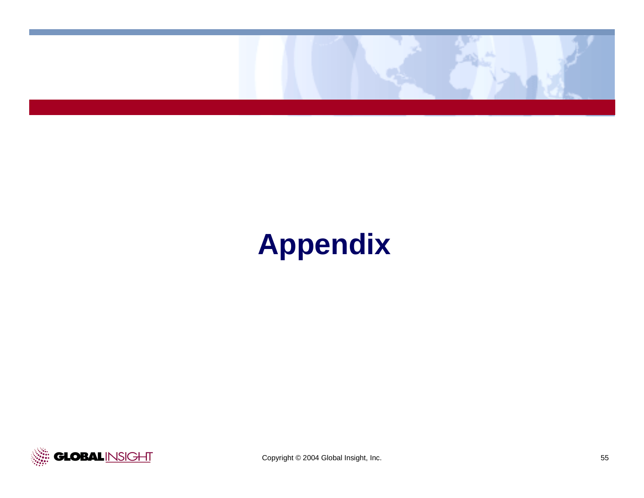

# **Appendix**

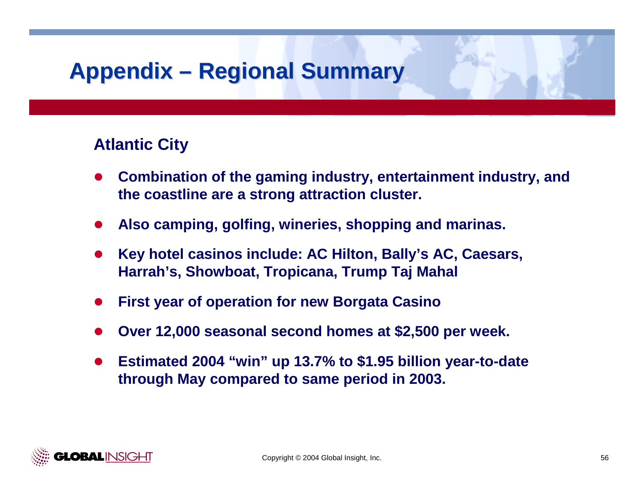## **Atlantic City**

- $\bullet$  **Combination of the gaming industry, entertainment industry, and the coastline are a strong attraction cluster.**
- $\bullet$ **Also camping, golfing, wineries, shopping and marinas.**
- $\bullet$  **Key hotel casinos include: AC Hilton, Bally's AC, Caesars, Harrah's, Showboat, Tropicana, Trump Taj Mahal**
- $\bullet$ **First year of operation for new Borgata Casino**
- $\bullet$ **Over 12,000 seasonal second homes at \$2,500 per week.**
- $\bullet$  **Estimated 2004 "win" up 13.7% to \$1.95 billion year-to-date through May compared to same period in 2003.**

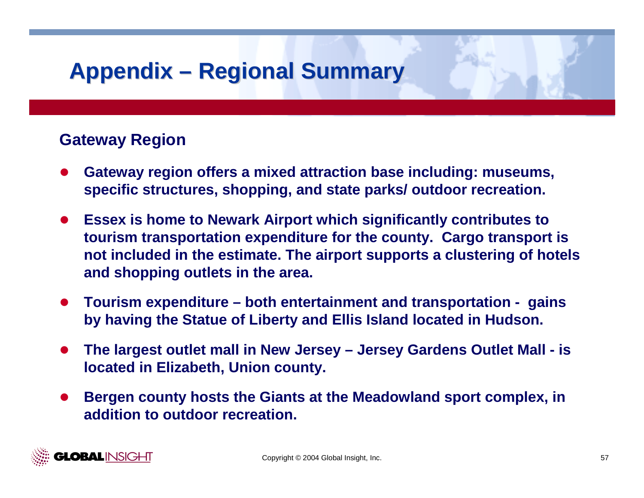## **Gateway Region**

- $\bullet$  **Gateway region offers a mixed attraction base including: museums, specific structures, shopping, and state parks/ outdoor recreation.**
- $\bullet$  **Essex is home to Newark Airport which significantly contributes to tourism transportation expenditure for the county. Cargo transport is not included in the estimate. The airport supports a clustering of hotels and shopping outlets in the area.**
- $\bullet$  **Tourism expenditure – both entertainment and transportation - gains by having the Statue of Liberty and Ellis Island located in Hudson.**
- $\bullet$  **The largest outlet mall in New Jersey – Jersey Gardens Outlet Mall - is located in Elizabeth, Union county.**
- $\bullet$  **Bergen county hosts the Giants at the Meadowland sport complex, in addition to outdoor recreation.**

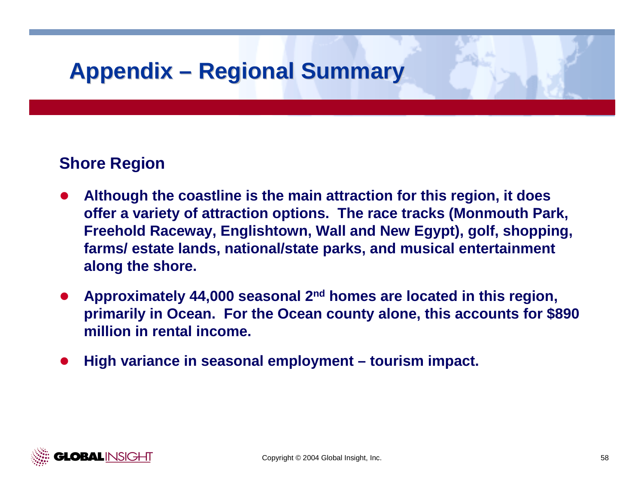## **Shore Region**

- $\bullet$  **Although the coastline is the main attraction for this region, it does offer a variety of attraction options. The race tracks (Monmouth Park, Freehold Raceway, Englishtown, Wall and New Egypt), golf, shopping, farms/ estate lands, national/state parks, and musical entertainment along the shore.**
- **•** Approximately 44,000 seasonal 2<sup>nd</sup> homes are located in this region, **primarily in Ocean. For the Ocean county alone, this accounts for \$890 million in rental income.**
- $\bullet$ **High variance in seasonal employment – tourism impact.**

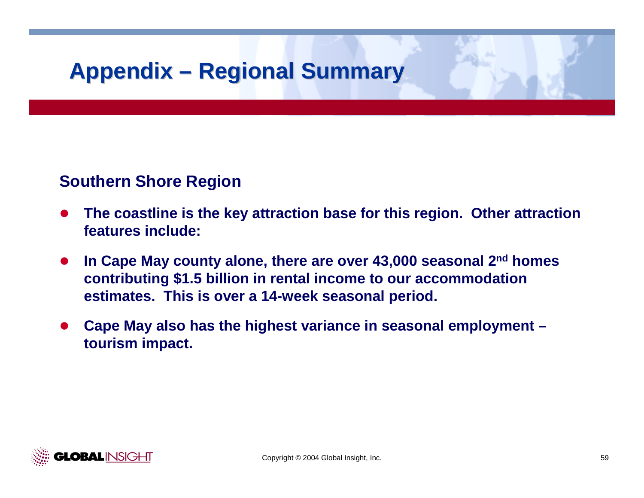## **Southern Shore Region**

- $\bullet$  **The coastline is the key attraction base for this region. Other attraction features include:**
- $\bullet$  **In Cape May county alone, there are over 43,000 seasonal 2nd homes contributing \$1.5 billion in rental income to our accommodation estimates. This is over a 14-week seasonal period.**
- $\bullet$  **Cape May also has the highest variance in seasonal employment – tourism impact.**

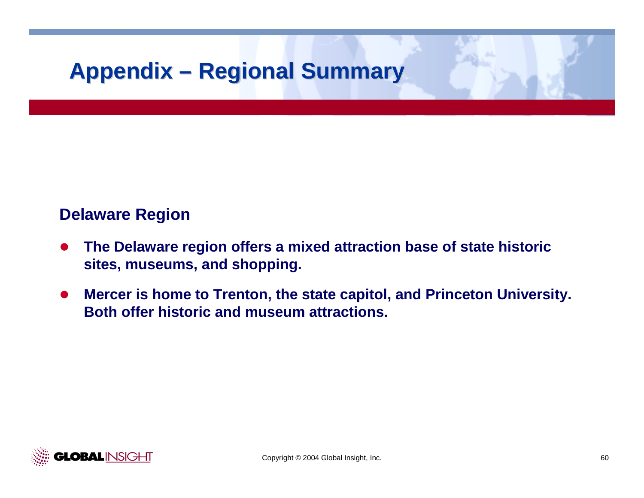## **Delaware Region**

- $\bullet$  **The Delaware region offers a mixed attraction base of state historic sites, museums, and shopping.**
- $\bullet$  **Mercer is home to Trenton, the state capitol, and Princeton University. Both offer historic and museum attractions.**

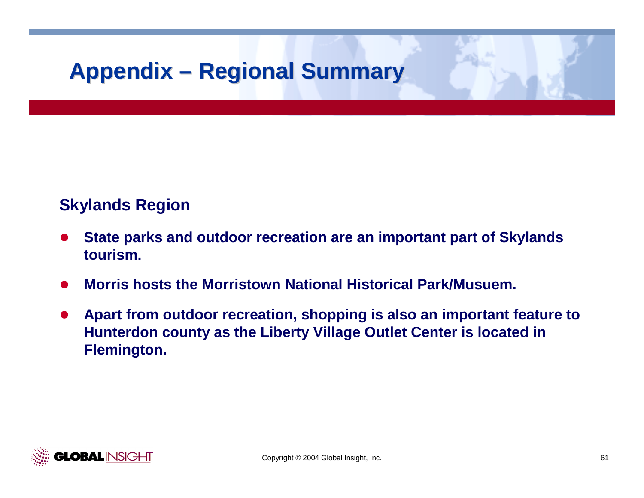## **Skylands Region**

- $\bullet$  **State parks and outdoor recreation are an important part of Skylands tourism.**
- $\bullet$ **Morris hosts the Morristown National Historical Park/Musuem.**
- $\bullet$  **Apart from outdoor recreation, shopping is also an important feature to Hunterdon county as the Liberty Village Outlet Center is located in Flemington.**